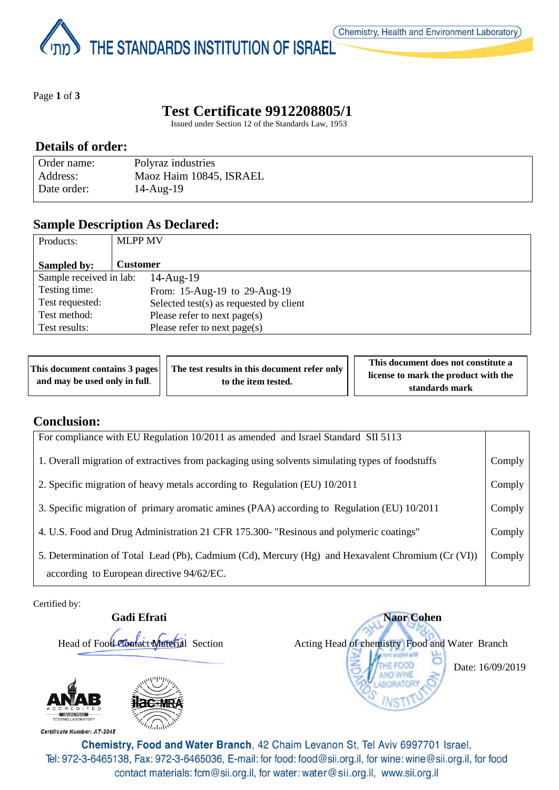THE STANDARDS INSTITUTION OF ISRAEL

Page **1** of **3**

# **Test Certificate 9912208805/1**

Issued under Section 12 of the Standards Law, 1953

#### **Details of order:**

| Order name: | Polyraz industries      |
|-------------|-------------------------|
| Address:    | Maoz Haim 10845, ISRAEL |
| Date order: | $14$ -Aug- $19$         |

#### **Sample Description As Declared:**

| Products:               | <b>MLPP MV</b>                             |
|-------------------------|--------------------------------------------|
| Sampled by:             | <b>Customer</b>                            |
| Sample received in lab: | $14$ -Aug- $19$                            |
| Testing time:           | From: 15-Aug-19 to 29-Aug-19               |
| Test requested:         | Selected test $(s)$ as requested by client |
| Test method:            | Please refer to next page(s)               |
| Test results:           | Please refer to next page(s)               |

|                               | This document contains 3 pages $\vert \vert$ The test results in this document refer only | This document does not constitute a  |
|-------------------------------|-------------------------------------------------------------------------------------------|--------------------------------------|
| and may be used only in full. | to the item tested.                                                                       | license to mark the product with the |
|                               |                                                                                           | standards mark                       |

#### **Conclusion:**

| For compliance with EU Regulation 10/2011 as amended and Israel Standard SII 5113                                                              |        |
|------------------------------------------------------------------------------------------------------------------------------------------------|--------|
| 1. Overall migration of extractives from packaging using solvents simulating types of foodstuffs                                               | Comply |
| 2. Specific migration of heavy metals according to Regulation (EU) 10/2011                                                                     | Comply |
| 3. Specific migration of primary aromatic amines (PAA) according to Regulation (EU) 10/2011                                                    | Comply |
| 4. U.S. Food and Drug Administration 21 CFR 175.300- "Resinous and polymeric coatings"                                                         | Comply |
| 5. Determination of Total Lead (Pb), Cadmium (Cd), Mercury (Hg) and Hexavalent Chromium (Cr (VI))<br>according to European directive 94/62/EC. | Comply |

Certified by:

**Gadi Efrati** Naor Cohen



Head of Food Contact Material Section Acting Head of chemistry Food and Water Branch

Date: 16/09/2019

Chemistry, Food and Water Branch, 42 Chaim Levanon St, Tel Aviv 6997701 Israel, Tel: 972-3-6465138, Fax: 972-3-6465036, E-mail: for food: food@sii.org.il, for wine: wine@sii.org.il, for food contact materials: fcm@sii.org.il, for water: water@sii.org.il, www.sii.org.il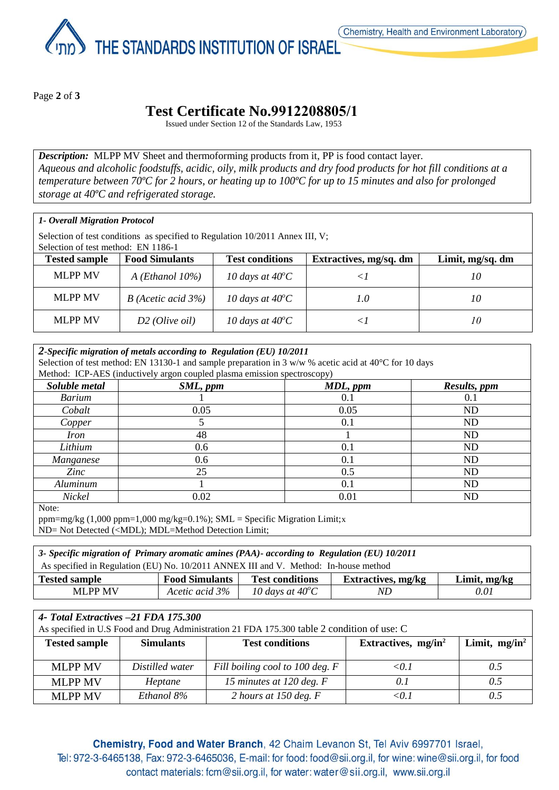THE STANDARDS INSTITUTION OF ISRAEL

Page **2** of **3**

## **Test Certificate No.9912208805/1**

Issued under Section 12 of the Standards Law, 1953

*Description:* MLPP MV Sheet and thermoforming products from it, PP is food contact layer. *Aqueous and alcoholic foodstuffs, acidic, oily, milk products and dry food products for hot fill conditions at a temperature between 70ºC for 2 hours, or heating up to 100ºC for up to 15 minutes and also for prolonged storage at 40ºC and refrigerated storage.*

| 1- Overall Migration Protocol |  |
|-------------------------------|--|
|-------------------------------|--|

Selection of test conditions as specified to Regulation 10/2011 Annex III, V;

Selection of test method: EN 1186-1

| <b>Tested sample</b> | <b>Food Simulants</b>     | <b>Test conditions</b>    | Extractives, mg/sq. dm | Limit, mg/sq. dm |
|----------------------|---------------------------|---------------------------|------------------------|------------------|
| <b>MLPP MV</b>       | $A$ ( <i>Ethanol</i> 10%) | 10 days at $40^{\circ}$ C |                        | 10               |
| <b>MLPP MV</b>       | $B$ (Acetic acid 3%)      | 10 days at $40^{\circ}$ C | 1.0                    | 10               |
| <b>MLPP MV</b>       | $D2$ (Olive oil)          | 10 days at $40^{\circ}$ C |                        | 10               |

| 2-Specific migration of metals according to Regulation (EU) 10/2011<br>Selection of test method: EN 13130-1 and sample preparation in 3 w/w % acetic acid at 40 $\degree$ C for 10 days<br>Method: ICP-AES (inductively argon coupled plasma emission spectroscopy) |                                      |      |           |  |  |  |
|---------------------------------------------------------------------------------------------------------------------------------------------------------------------------------------------------------------------------------------------------------------------|--------------------------------------|------|-----------|--|--|--|
| Soluble metal                                                                                                                                                                                                                                                       | SML, ppm<br>MDL, ppm<br>Results, ppm |      |           |  |  |  |
| <b>Barium</b>                                                                                                                                                                                                                                                       |                                      | 0.1  | 0.1       |  |  |  |
| Cobalt                                                                                                                                                                                                                                                              | 0.05                                 | 0.05 | ND        |  |  |  |
| Copper                                                                                                                                                                                                                                                              |                                      | 0.1  | <b>ND</b> |  |  |  |
| <i>Iron</i>                                                                                                                                                                                                                                                         | 48                                   |      | ND        |  |  |  |
| Lithium                                                                                                                                                                                                                                                             | 0.6                                  | 0.1  | ND        |  |  |  |
| Manganese                                                                                                                                                                                                                                                           | 0.6                                  | 0.1  | <b>ND</b> |  |  |  |
| Zinc                                                                                                                                                                                                                                                                | 25                                   | 0.5  | <b>ND</b> |  |  |  |
| Aluminum                                                                                                                                                                                                                                                            |                                      | 0.1  | ND        |  |  |  |
| Nickel                                                                                                                                                                                                                                                              | 0.02                                 | 0.01 | ND        |  |  |  |
| Note:                                                                                                                                                                                                                                                               |                                      |      |           |  |  |  |

ppm=mg/kg  $(1,000 \text{ ppm}=1,000 \text{ mg/kg}=0.1\%)$ ; SML = Specific Migration Limit;x

ND= Not Detected (<MDL); MDL=Method Detection Limit;

| 3- Specific migration of Primary aromatic amines (PAA)- according to Regulation (EU) 10/2011                           |                |                           |    |      |
|------------------------------------------------------------------------------------------------------------------------|----------------|---------------------------|----|------|
| As specified in Regulation (EU) No. 10/2011 ANNEX III and V. Method: In-house method                                   |                |                           |    |      |
| <b>Food Simulants</b><br><b>Test conditions</b><br><b>Extractives, mg/kg</b><br><b>Tested sample</b><br>Limit, $mg/kg$ |                |                           |    |      |
| <b>MLPP MV</b>                                                                                                         | Acetic acid 3% | 10 days at $40^{\circ}$ C | ND | 0.01 |

| 4- Total Extractives -21 FDA 175.300<br>As specified in U.S Food and Drug Administration 21 FDA 175.300 table 2 condition of use: C |                  |                                 |                                 |                  |
|-------------------------------------------------------------------------------------------------------------------------------------|------------------|---------------------------------|---------------------------------|------------------|
| <b>Tested sample</b>                                                                                                                | <b>Simulants</b> | <b>Test conditions</b>          | Extractives, mg/in <sup>2</sup> | Limit, $mg/in^2$ |
| <b>MLPP MV</b>                                                                                                                      | Distilled water  | Fill boiling cool to 100 deg. F | $\langle 01$                    | 0.5              |
| <b>MLPP MV</b>                                                                                                                      | Heptane          | 15 minutes at 120 deg. $F$      | 0.1                             | 0.5              |
| <b>MLPP MV</b>                                                                                                                      | Ethanol 8%       | 2 hours at 150 deg. $F$         | < 0.1                           | 0.5              |

Chemistry, Food and Water Branch, 42 Chaim Levanon St, Tel Aviv 6997701 Israel, Tel: 972-3-6465138, Fax: 972-3-6465036, E-mail: for food: food@sii.org.il, for wine: wine@sii.org.il, for food contact materials: fcm@sii.org.il, for water: water@sii.org.il, www.sii.org.il